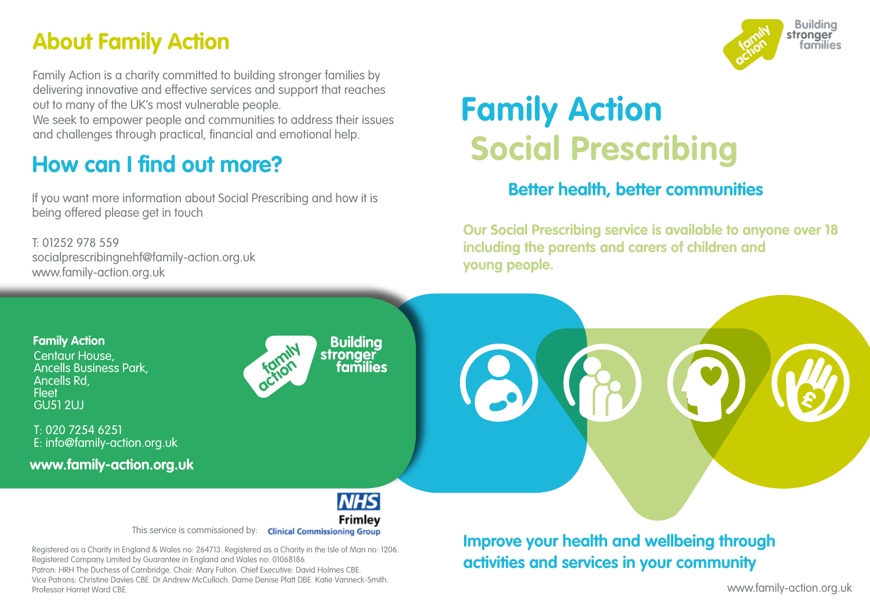## **About Family Action**

Family Action is a charity committed to building stronger families by delivering innovative and effective services and support that reaches out to many of the UK's most vulnerable people.

We seek to empower people and communities to address their issues and challenges through practical, financial and emotional help.

## **How can I find out more?**

If you want more information about Social Prescribing and how it is being offered please get in touch

T: 01252 978 559 socialprescribingnehf@family-action.org.uk www.family-action.org.uk

Professor Harriet Ward CBE.

# **Family Action Social Prescribing**

#### **Better health, better communities**

**Our Social Prescribing service is available to anyone over 18 including the parents and carers of children and young people.**





www.family-action.org.uk